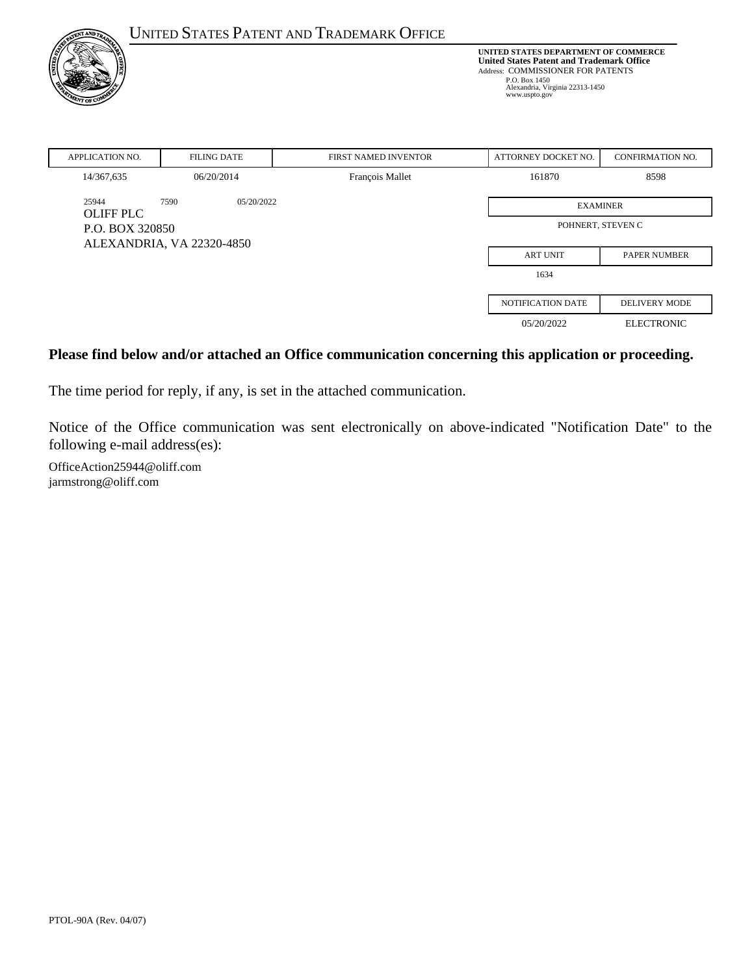| <b>ENT AND TO</b>         |                           | <b>UNITED STATES PATENT AND TRADEMARK OFFICE</b>                                                                                                                                                   |                     |                         |
|---------------------------|---------------------------|----------------------------------------------------------------------------------------------------------------------------------------------------------------------------------------------------|---------------------|-------------------------|
| r of '                    |                           | UNITED STATES DEPARTMENT OF COMMERCE<br><b>United States Patent and Trademark Office</b><br>Address: COMMISSIONER FOR PATENTS<br>P.O. Box 1450<br>Alexandria, Virginia 22313-1450<br>www.uspto.gov |                     |                         |
| <b>APPLICATION NO.</b>    | <b>FILING DATE</b>        | FIRST NAMED INVENTOR                                                                                                                                                                               | ATTORNEY DOCKET NO. | <b>CONFIRMATION NO.</b> |
| 14/367,635                | 06/20/2014                | François Mallet                                                                                                                                                                                    | 161870              | 8598                    |
| 25944<br><b>OLIFF PLC</b> | 7590<br>05/20/2022        | <b>EXAMINER</b>                                                                                                                                                                                    |                     |                         |
| P.O. BOX 320850           |                           | POHNERT, STEVEN C                                                                                                                                                                                  |                     |                         |
|                           | ALEXANDRIA, VA 22320-4850 |                                                                                                                                                                                                    |                     |                         |
|                           |                           |                                                                                                                                                                                                    | <b>ART UNIT</b>     | <b>PAPER NUMBER</b>     |
|                           |                           |                                                                                                                                                                                                    | 1634                |                         |
|                           |                           |                                                                                                                                                                                                    | NOTIFICATION DATE   | <b>DELIVERY MODE</b>    |
|                           |                           |                                                                                                                                                                                                    | 05/20/2022          | <b>ELECTRONIC</b>       |

#### **Please find below and/or attached an Office communication concerning this application or proceeding.**

The time period for reply, if any, is set in the attached communication.

Notice of the Office communication was sent electronically on above-indicated "Notification Date" to the following e-mail address(es):

OfficeAction25944@oliff.com jarmstrong@oliff.com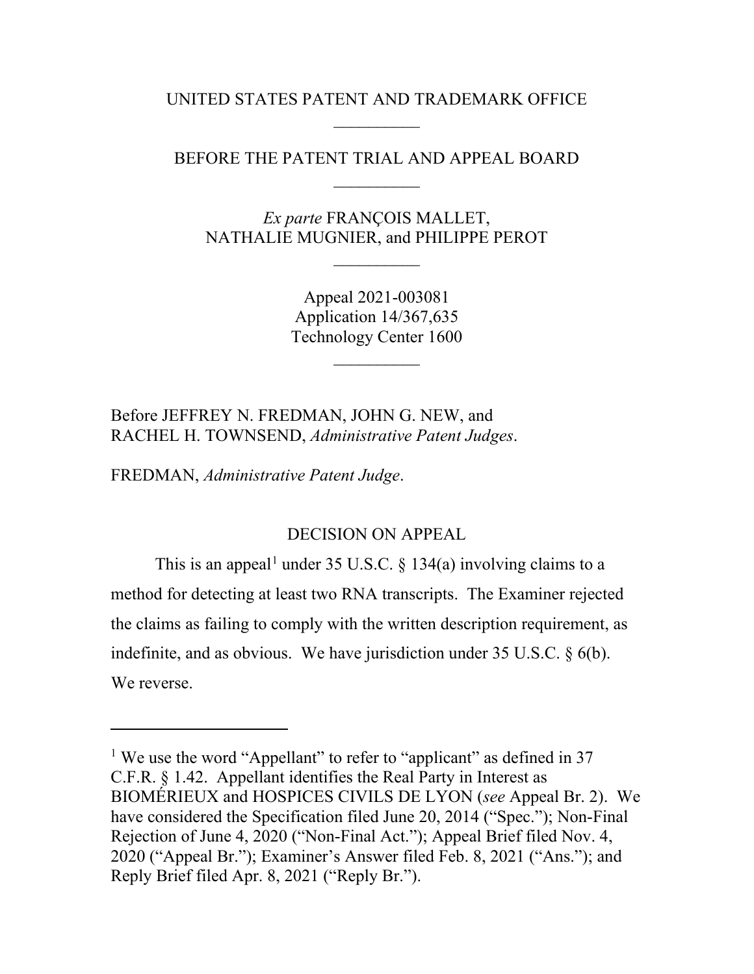UNITED STATES PATENT AND TRADEMARK OFFICE  $\overline{\phantom{a}}$ 

# BEFORE THE PATENT TRIAL AND APPEAL BOARD  $\overline{\phantom{a}}$

*Ex parte* FRANÇOIS MALLET, NATHALIE MUGNIER, and PHILIPPE PEROT

 $\overline{\phantom{a}}$ 

Appeal 2021-003081 Application 14/367,635 Technology Center 1600

 $\overline{\phantom{a}}$ 

Before JEFFREY N. FREDMAN, JOHN G. NEW, and RACHEL H. TOWNSEND, *Administrative Patent Judges*.

FREDMAN, *Administrative Patent Judge*.

 $\overline{a}$ 

#### DECISION ON APPEAL

This is an appeal<sup>[1](#page-1-0)</sup> under 35 U.S.C. § 134(a) involving claims to a method for detecting at least two RNA transcripts. The Examiner rejected the claims as failing to comply with the written description requirement, as indefinite, and as obvious. We have jurisdiction under 35 U.S.C. § 6(b). We reverse.

<span id="page-1-0"></span><sup>&</sup>lt;sup>1</sup> We use the word "Appellant" to refer to "applicant" as defined in 37 C.F.R. § 1.42. Appellant identifies the Real Party in Interest as BIOMÉRIEUX and HOSPICES CIVILS DE LYON (*see* Appeal Br. 2). We have considered the Specification filed June 20, 2014 ("Spec."); Non-Final Rejection of June 4, 2020 ("Non-Final Act."); Appeal Brief filed Nov. 4, 2020 ("Appeal Br."); Examiner's Answer filed Feb. 8, 2021 ("Ans."); and Reply Brief filed Apr. 8, 2021 ("Reply Br.").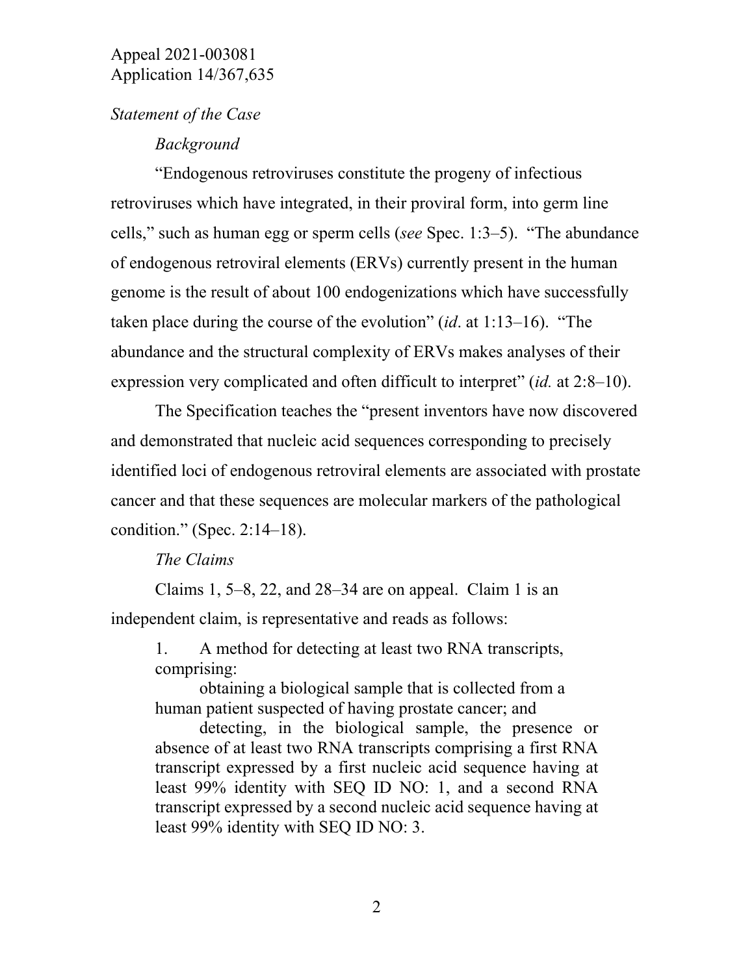#### *Statement of the Case*

#### *Background*

"Endogenous retroviruses constitute the progeny of infectious retroviruses which have integrated, in their proviral form, into germ line cells," such as human egg or sperm cells (*see* Spec. 1:3–5). "The abundance of endogenous retroviral elements (ERVs) currently present in the human genome is the result of about 100 endogenizations which have successfully taken place during the course of the evolution" (*id*. at 1:13–16). "The abundance and the structural complexity of ERVs makes analyses of their expression very complicated and often difficult to interpret" (*id.* at 2:8–10).

The Specification teaches the "present inventors have now discovered and demonstrated that nucleic acid sequences corresponding to precisely identified loci of endogenous retroviral elements are associated with prostate cancer and that these sequences are molecular markers of the pathological condition." (Spec. 2:14–18).

#### *The Claims*

Claims 1, 5–8, 22, and  $28-34$  are on appeal. Claim 1 is an independent claim, is representative and reads as follows:

1. A method for detecting at least two RNA transcripts, comprising:

obtaining a biological sample that is collected from a human patient suspected of having prostate cancer; and

detecting, in the biological sample, the presence or absence of at least two RNA transcripts comprising a first RNA transcript expressed by a first nucleic acid sequence having at least 99% identity with SEQ ID NO: 1, and a second RNA transcript expressed by a second nucleic acid sequence having at least 99% identity with SEQ ID NO: 3.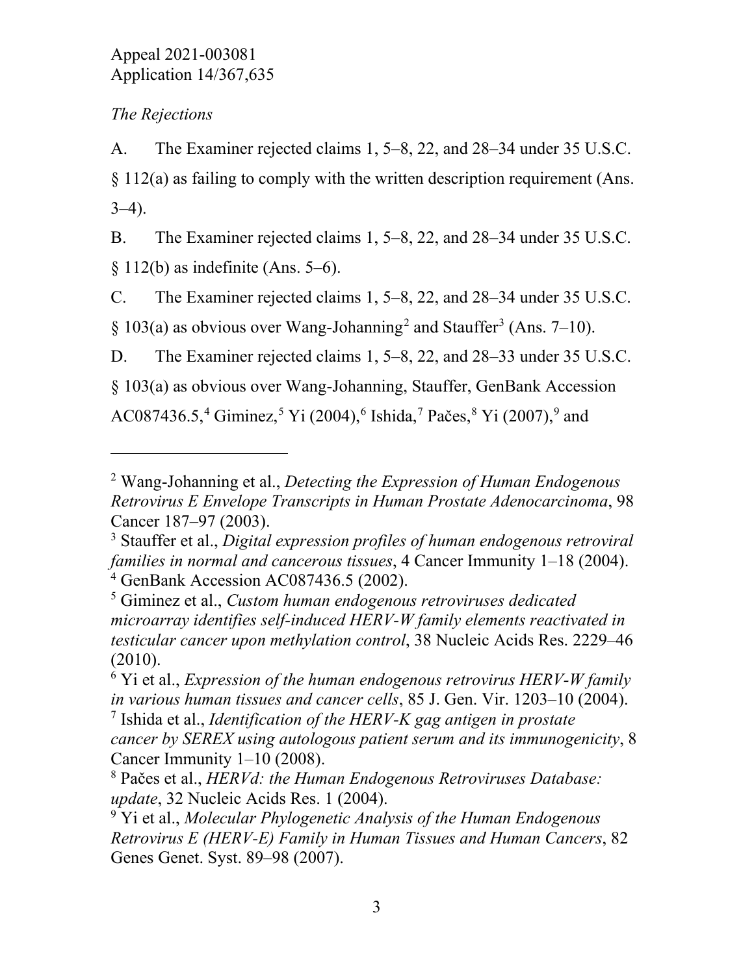# *The Rejections*

 $\overline{a}$ 

A. The Examiner rejected claims 1, 5–8, 22, and 28–34 under 35 U.S.C. § 112(a) as failing to comply with the written description requirement (Ans.  $3-4$ ).

B. The Examiner rejected claims 1, 5–8, 22, and 28–34 under 35 U.S.C.  $§ 112(b)$  as indefinite (Ans. 5–6).

C. The Examiner rejected claims 1, 5–8, 22, and 28–34 under 35 U.S.C.  $§ 103(a)$  $§ 103(a)$  $§ 103(a)$  as obvious over Wang-Johanning<sup>[2](#page-3-0)</sup> and Stauffer<sup>3</sup> (Ans. 7–10).

D. The Examiner rejected claims 1, 5–8, 22, and 28–33 under 35 U.S.C.

§ 103(a) as obvious over Wang-Johanning, Stauffer, GenBank Accession

AC087[4](#page-3-2)36.[5](#page-3-3),<sup>4</sup> Giminez,<sup>5</sup> Yi (2004),<sup>[6](#page-3-4)</sup> Ishida,<sup>[7](#page-3-5)</sup> Pačes,<sup>[8](#page-3-6)</sup> Yi (2007),<sup>[9](#page-3-7)</sup> and

<span id="page-3-0"></span><sup>2</sup> Wang-Johanning et al., *Detecting the Expression of Human Endogenous Retrovirus E Envelope Transcripts in Human Prostate Adenocarcinoma*, 98 Cancer 187–97 (2003).

<span id="page-3-1"></span><sup>3</sup> Stauffer et al., *Digital expression profiles of human endogenous retroviral families in normal and cancerous tissues*, 4 Cancer Immunity 1–18 (2004). <sup>4</sup> GenBank Accession AC087436.5 (2002).

<span id="page-3-3"></span><span id="page-3-2"></span><sup>5</sup> Giminez et al., *Custom human endogenous retroviruses dedicated microarray identifies self-induced HERV-W family elements reactivated in testicular cancer upon methylation control*, 38 Nucleic Acids Res. 2229–46 (2010).

<span id="page-3-4"></span><sup>6</sup> Yi et al., *Expression of the human endogenous retrovirus HERV-W family in various human tissues and cancer cells*, 85 J. Gen. Vir. 1203–10 (2004).

<span id="page-3-5"></span><sup>7</sup> Ishida et al., *Identification of the HERV-K gag antigen in prostate cancer by SEREX using autologous patient serum and its immunogenicity*, 8 Cancer Immunity 1–10 (2008).

<span id="page-3-6"></span><sup>8</sup> Pačes et al., *HERVd: the Human Endogenous Retroviruses Database: update*, 32 Nucleic Acids Res. 1 (2004).

<span id="page-3-7"></span><sup>9</sup> Yi et al., *Molecular Phylogenetic Analysis of the Human Endogenous Retrovirus E (HERV-E) Family in Human Tissues and Human Cancers*, 82 Genes Genet. Syst. 89–98 (2007).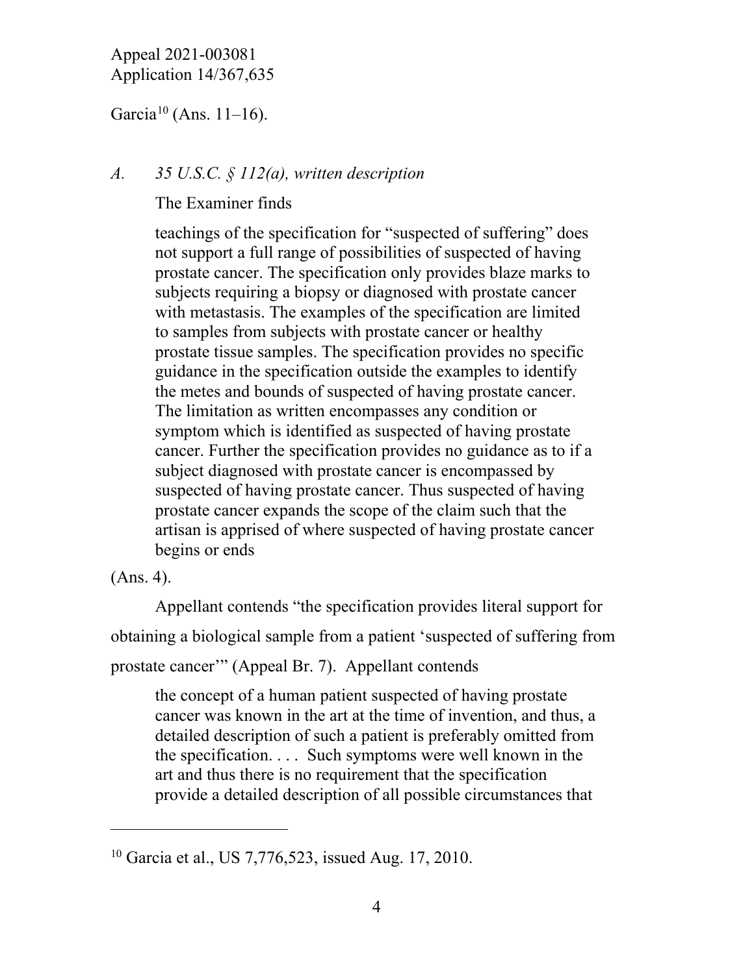Garcia<sup>[10](#page-4-0)</sup> (Ans. 11–16).

# *A. 35 U.S.C. § 112(a), written description*

The Examiner finds

teachings of the specification for "suspected of suffering" does not support a full range of possibilities of suspected of having prostate cancer. The specification only provides blaze marks to subjects requiring a biopsy or diagnosed with prostate cancer with metastasis. The examples of the specification are limited to samples from subjects with prostate cancer or healthy prostate tissue samples. The specification provides no specific guidance in the specification outside the examples to identify the metes and bounds of suspected of having prostate cancer. The limitation as written encompasses any condition or symptom which is identified as suspected of having prostate cancer. Further the specification provides no guidance as to if a subject diagnosed with prostate cancer is encompassed by suspected of having prostate cancer. Thus suspected of having prostate cancer expands the scope of the claim such that the artisan is apprised of where suspected of having prostate cancer begins or ends

(Ans. 4).

 $\overline{a}$ 

Appellant contends "the specification provides literal support for obtaining a biological sample from a patient 'suspected of suffering from prostate cancer'" (Appeal Br. 7). Appellant contends

the concept of a human patient suspected of having prostate cancer was known in the art at the time of invention, and thus, a detailed description of such a patient is preferably omitted from the specification. . . . Such symptoms were well known in the art and thus there is no requirement that the specification provide a detailed description of all possible circumstances that

<span id="page-4-0"></span><sup>10</sup> Garcia et al., US 7,776,523, issued Aug. 17, 2010.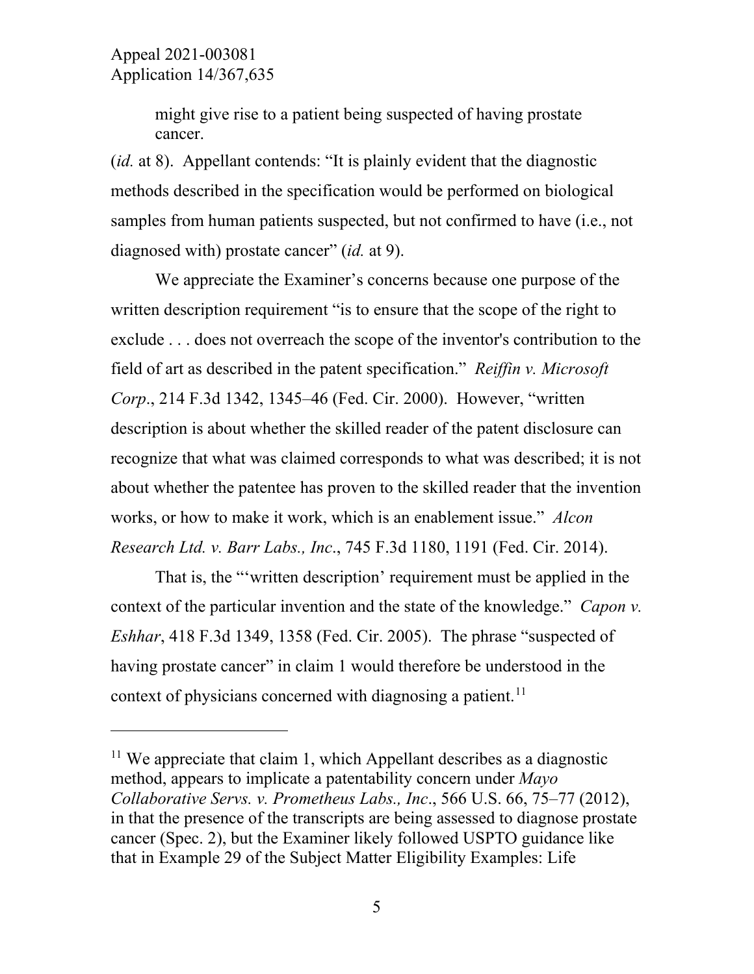$\overline{a}$ 

might give rise to a patient being suspected of having prostate cancer.

(*id.* at 8). Appellant contends: "It is plainly evident that the diagnostic methods described in the specification would be performed on biological samples from human patients suspected, but not confirmed to have (i.e., not diagnosed with) prostate cancer" (*id.* at 9).

We appreciate the Examiner's concerns because one purpose of the written description requirement "is to ensure that the scope of the right to exclude . . . does not overreach the scope of the inventor's contribution to the field of art as described in the patent specification." *Reiffin v. Microsoft Corp*., 214 F.3d 1342, 1345–46 (Fed. Cir. 2000). However, "written description is about whether the skilled reader of the patent disclosure can recognize that what was claimed corresponds to what was described; it is not about whether the patentee has proven to the skilled reader that the invention works, or how to make it work, which is an enablement issue." *Alcon Research Ltd. v. Barr Labs., Inc*., 745 F.3d 1180, 1191 (Fed. Cir. 2014).

That is, the "'written description' requirement must be applied in the context of the particular invention and the state of the knowledge." *Capon v. Eshhar*, 418 F.3d 1349, 1358 (Fed. Cir. 2005). The phrase "suspected of having prostate cancer" in claim 1 would therefore be understood in the context of physicians concerned with diagnosing a patient.<sup>[11](#page-5-0)</sup>

<span id="page-5-0"></span> $11$  We appreciate that claim 1, which Appellant describes as a diagnostic method, appears to implicate a patentability concern under *Mayo Collaborative Servs. v. Prometheus Labs., Inc*., 566 U.S. 66, 75–77 (2012), in that the presence of the transcripts are being assessed to diagnose prostate cancer (Spec. 2), but the Examiner likely followed USPTO guidance like that in Example 29 of the Subject Matter Eligibility Examples: Life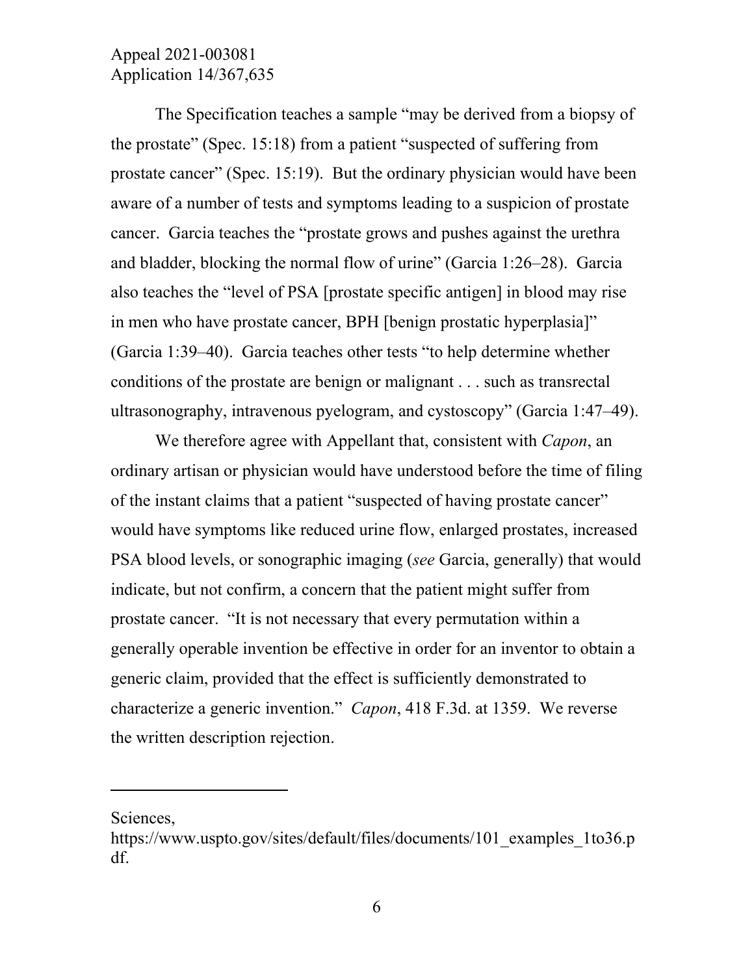The Specification teaches a sample "may be derived from a biopsy of the prostate" (Spec. 15:18) from a patient "suspected of suffering from prostate cancer" (Spec. 15:19). But the ordinary physician would have been aware of a number of tests and symptoms leading to a suspicion of prostate cancer. Garcia teaches the "prostate grows and pushes against the urethra and bladder, blocking the normal flow of urine" (Garcia 1:26–28). Garcia also teaches the "level of PSA [prostate specific antigen] in blood may rise in men who have prostate cancer, BPH [benign prostatic hyperplasia]" (Garcia 1:39–40). Garcia teaches other tests "to help determine whether conditions of the prostate are benign or malignant . . . such as transrectal ultrasonography, intravenous pyelogram, and cystoscopy" (Garcia 1:47–49).

We therefore agree with Appellant that, consistent with *Capon*, an ordinary artisan or physician would have understood before the time of filing of the instant claims that a patient "suspected of having prostate cancer" would have symptoms like reduced urine flow, enlarged prostates, increased PSA blood levels, or sonographic imaging (*see* Garcia, generally) that would indicate, but not confirm, a concern that the patient might suffer from prostate cancer. "It is not necessary that every permutation within a generally operable invention be effective in order for an inventor to obtain a generic claim, provided that the effect is sufficiently demonstrated to characterize a generic invention." *Capon*, 418 F.3d. at 1359. We reverse the written description rejection.

Sciences,

 $\overline{a}$ 

https://www.uspto.gov/sites/default/files/documents/101\_examples\_1to36.p df.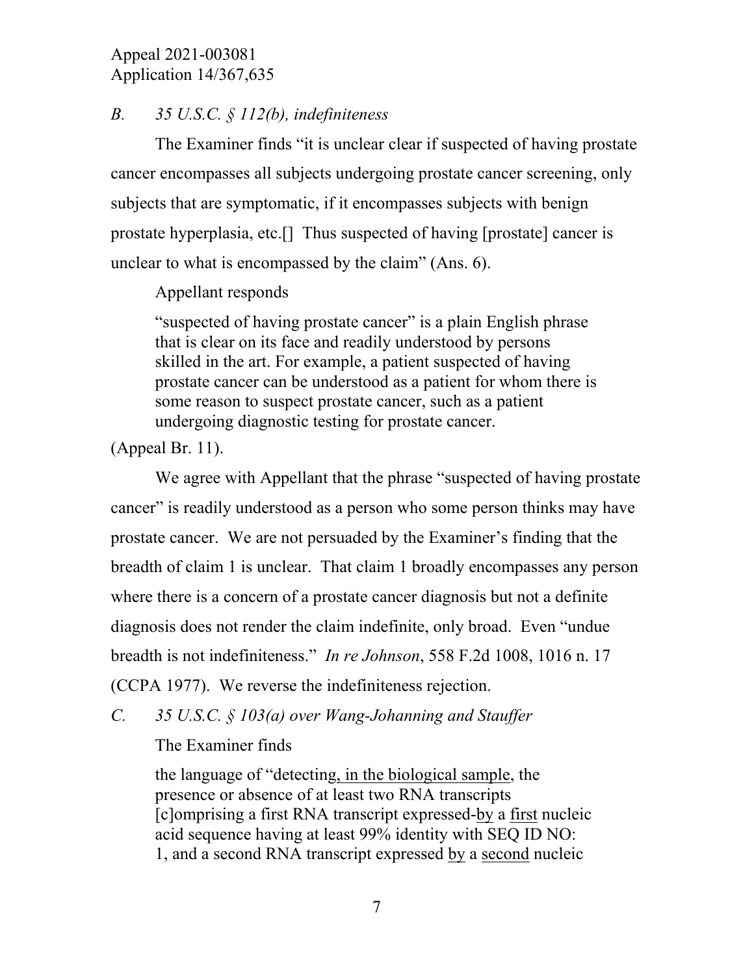## *B. 35 U.S.C. § 112(b), indefiniteness*

The Examiner finds "it is unclear clear if suspected of having prostate cancer encompasses all subjects undergoing prostate cancer screening, only subjects that are symptomatic, if it encompasses subjects with benign prostate hyperplasia, etc.[] Thus suspected of having [prostate] cancer is unclear to what is encompassed by the claim" (Ans. 6).

Appellant responds

"suspected of having prostate cancer" is a plain English phrase that is clear on its face and readily understood by persons skilled in the art. For example, a patient suspected of having prostate cancer can be understood as a patient for whom there is some reason to suspect prostate cancer, such as a patient undergoing diagnostic testing for prostate cancer.

(Appeal Br. 11).

We agree with Appellant that the phrase "suspected of having prostate" cancer" is readily understood as a person who some person thinks may have prostate cancer. We are not persuaded by the Examiner's finding that the breadth of claim 1 is unclear. That claim 1 broadly encompasses any person where there is a concern of a prostate cancer diagnosis but not a definite diagnosis does not render the claim indefinite, only broad. Even "undue breadth is not indefiniteness." *In re Johnson*, 558 F.2d 1008, 1016 n. 17

(CCPA 1977). We reverse the indefiniteness rejection.

*C. 35 U.S.C. § 103(a) over Wang-Johanning and Stauffer*

The Examiner finds

the language of "detecting, in the biological sample, the presence or absence of at least two RNA transcripts [c]omprising a first RNA transcript expressed-by a first nucleic acid sequence having at least 99% identity with SEQ ID NO: 1, and a second RNA transcript expressed by a second nucleic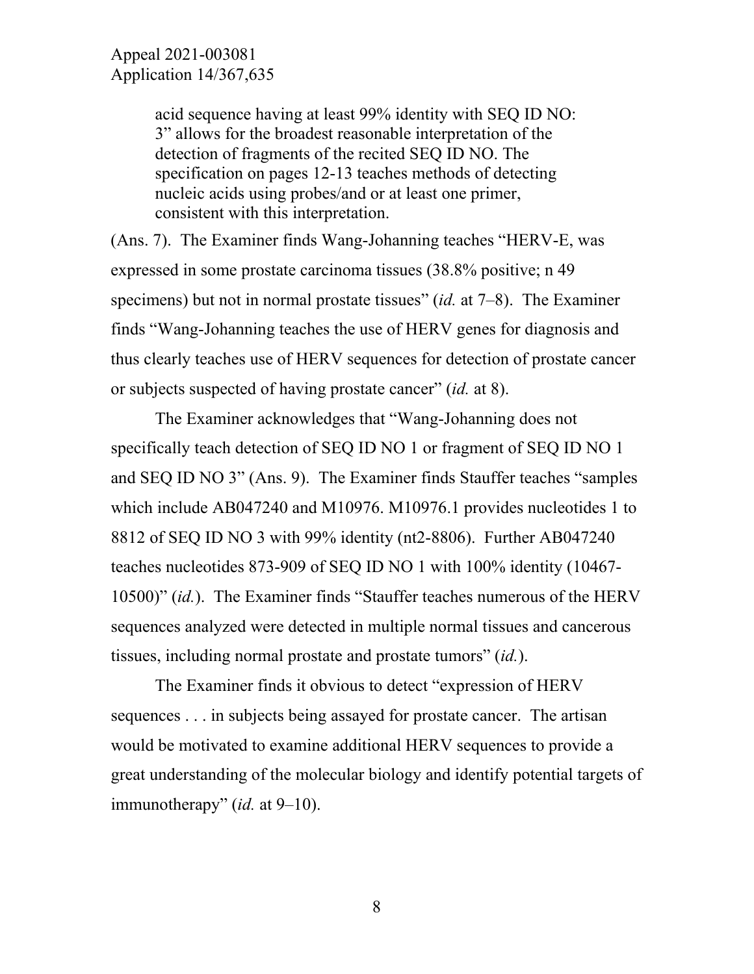acid sequence having at least 99% identity with SEQ ID NO: 3" allows for the broadest reasonable interpretation of the detection of fragments of the recited SEQ ID NO. The specification on pages 12-13 teaches methods of detecting nucleic acids using probes/and or at least one primer, consistent with this interpretation.

(Ans. 7). The Examiner finds Wang-Johanning teaches "HERV-E, was expressed in some prostate carcinoma tissues (38.8% positive; n 49 specimens) but not in normal prostate tissues" (*id.* at 7–8). The Examiner finds "Wang-Johanning teaches the use of HERV genes for diagnosis and thus clearly teaches use of HERV sequences for detection of prostate cancer or subjects suspected of having prostate cancer" (*id.* at 8).

The Examiner acknowledges that "Wang-Johanning does not specifically teach detection of SEQ ID NO 1 or fragment of SEQ ID NO 1 and SEQ ID NO 3" (Ans. 9). The Examiner finds Stauffer teaches "samples which include AB047240 and M10976. M10976.1 provides nucleotides 1 to 8812 of SEQ ID NO 3 with 99% identity (nt2-8806). Further AB047240 teaches nucleotides 873-909 of SEQ ID NO 1 with 100% identity (10467- 10500)" (*id.*). The Examiner finds "Stauffer teaches numerous of the HERV sequences analyzed were detected in multiple normal tissues and cancerous tissues, including normal prostate and prostate tumors" (*id.*).

The Examiner finds it obvious to detect "expression of HERV sequences . . . in subjects being assayed for prostate cancer. The artisan would be motivated to examine additional HERV sequences to provide a great understanding of the molecular biology and identify potential targets of immunotherapy" (*id.* at 9–10).

8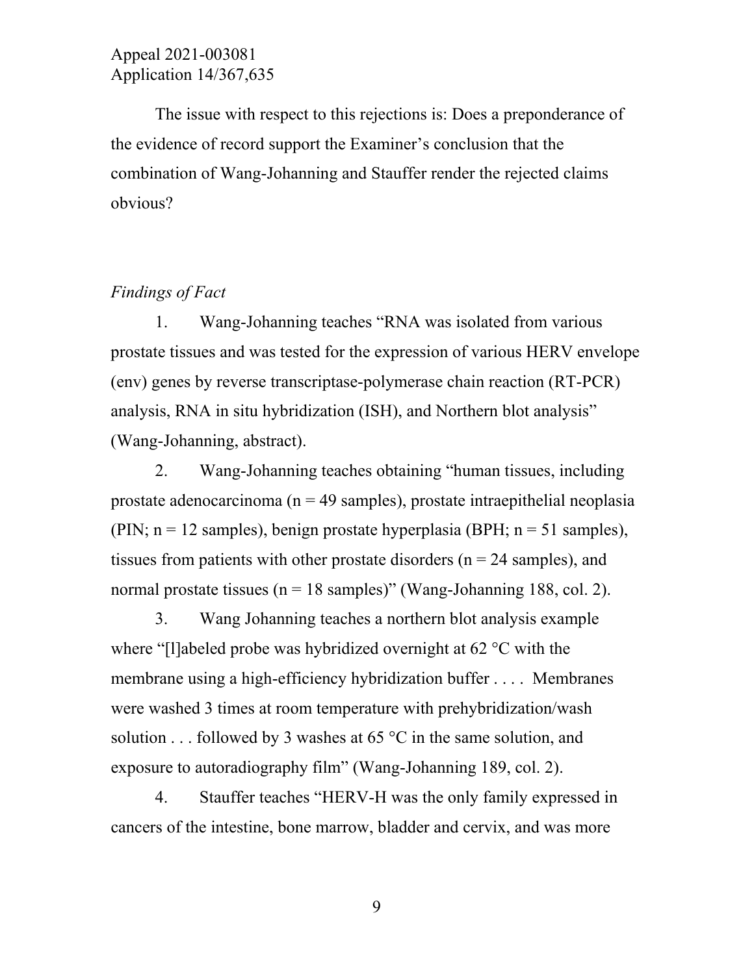The issue with respect to this rejections is: Does a preponderance of the evidence of record support the Examiner's conclusion that the combination of Wang-Johanning and Stauffer render the rejected claims obvious?

#### *Findings of Fact*

1. Wang-Johanning teaches "RNA was isolated from various prostate tissues and was tested for the expression of various HERV envelope (env) genes by reverse transcriptase-polymerase chain reaction (RT-PCR) analysis, RNA in situ hybridization (ISH), and Northern blot analysis" (Wang-Johanning, abstract).

2. Wang-Johanning teaches obtaining "human tissues, including prostate adenocarcinoma ( $n = 49$  samples), prostate intraepithelial neoplasia (PIN;  $n = 12$  samples), benign prostate hyperplasia (BPH;  $n = 51$  samples), tissues from patients with other prostate disorders ( $n = 24$  samples), and normal prostate tissues ( $n = 18$  samples)" (Wang-Johanning 188, col. 2).

3. Wang Johanning teaches a northern blot analysis example where "[l]abeled probe was hybridized overnight at 62 °C with the membrane using a high-efficiency hybridization buffer . . . . Membranes were washed 3 times at room temperature with prehybridization/wash solution . . . followed by 3 washes at 65  $\degree$ C in the same solution, and exposure to autoradiography film" (Wang-Johanning 189, col. 2).

4. Stauffer teaches "HERV-H was the only family expressed in cancers of the intestine, bone marrow, bladder and cervix, and was more

9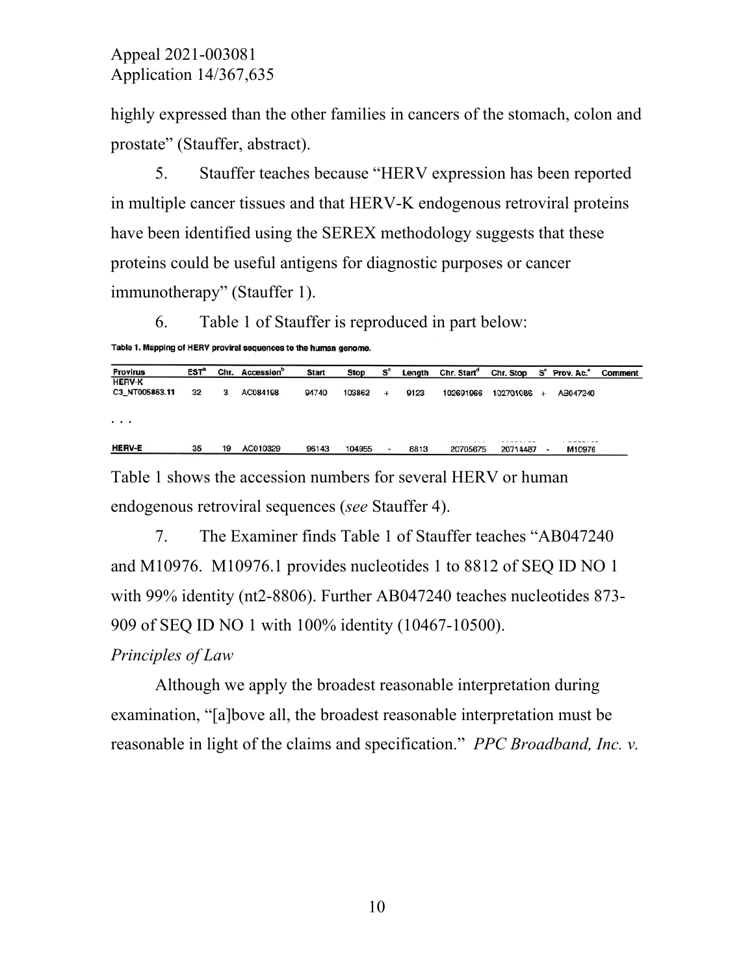highly expressed than the other families in cancers of the stomach, colon and prostate" (Stauffer, abstract).

5. Stauffer teaches because "HERV expression has been reported in multiple cancer tissues and that HERV-K endogenous retroviral proteins have been identified using the SEREX methodology suggests that these proteins could be useful antigens for diagnostic purposes or cancer immunotherapy" (Stauffer 1).

6. Table 1 of Stauffer is reproduced in part below:

```
Table 1. Mapping of HERV proviral sequences to the human genome.
```

| <b>Provirus</b> | EST <sup>ª</sup> | Chr. | Accession <sup>o</sup> | <b>Start</b> | Stop   | $\mathbf{s}^{\circ}$ | Length | Chr. Start <sup>d</sup> | Chr. Stop S° Prov. Ac.° |        |          | Comment |
|-----------------|------------------|------|------------------------|--------------|--------|----------------------|--------|-------------------------|-------------------------|--------|----------|---------|
| <b>HERV-K</b>   |                  |      |                        |              |        |                      |        |                         |                         |        |          |         |
| C3 NT005863.11  | 32               | 3    | AC084198               | 94740        | 103862 | $\ddotmark$          | 9123   | 102691966               | 102701086               | $\div$ | AB047240 |         |
| $\cdots$        |                  |      |                        |              |        |                      |        |                         |                         |        |          |         |
|                 |                  |      |                        |              |        |                      |        |                         |                         |        |          |         |
| <b>HERV-E</b>   | 35               | 19   | AC010329               | 96143        | 104955 | ۰                    | 8813   | 20705675                | 20714487                |        | M10976   |         |

Table 1 shows the accession numbers for several HERV or human endogenous retroviral sequences (*see* Stauffer 4).

7. The Examiner finds Table 1 of Stauffer teaches "AB047240 and M10976. M10976.1 provides nucleotides 1 to 8812 of SEQ ID NO 1 with 99% identity (nt2-8806). Further AB047240 teaches nucleotides 873- 909 of SEQ ID NO 1 with 100% identity (10467-10500).

### *Principles of Law*

Although we apply the broadest reasonable interpretation during examination, "[a]bove all, the broadest reasonable interpretation must be reasonable in light of the claims and specification." *PPC Broadband, Inc. v.*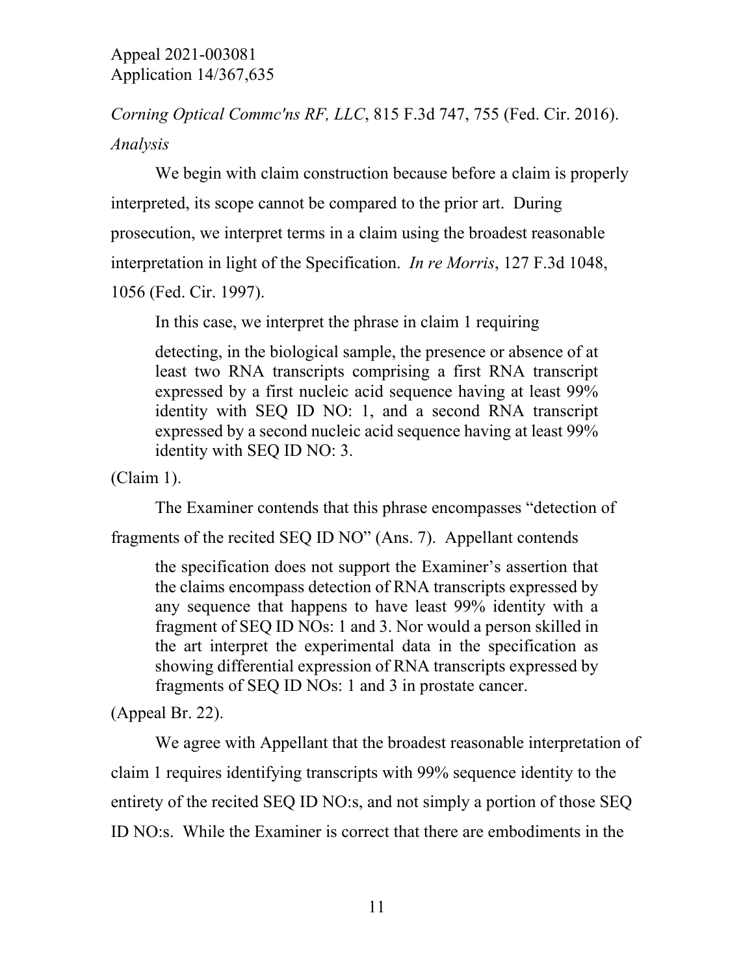*Corning Optical Commc'ns RF, LLC*, 815 F.3d 747, 755 (Fed. Cir. 2016). *Analysis*

We begin with claim construction because before a claim is properly interpreted, its scope cannot be compared to the prior art. During prosecution, we interpret terms in a claim using the broadest reasonable interpretation in light of the Specification. *In re Morris*, 127 F.3d 1048, 1056 (Fed. Cir. 1997).

In this case, we interpret the phrase in claim 1 requiring

detecting, in the biological sample, the presence or absence of at least two RNA transcripts comprising a first RNA transcript expressed by a first nucleic acid sequence having at least 99% identity with SEQ ID NO: 1, and a second RNA transcript expressed by a second nucleic acid sequence having at least 99% identity with SEQ ID NO: 3.

(Claim 1).

The Examiner contends that this phrase encompasses "detection of

fragments of the recited SEQ ID NO" (Ans. 7). Appellant contends

the specification does not support the Examiner's assertion that the claims encompass detection of RNA transcripts expressed by any sequence that happens to have least 99% identity with a fragment of SEQ ID NOs: 1 and 3. Nor would a person skilled in the art interpret the experimental data in the specification as showing differential expression of RNA transcripts expressed by fragments of SEQ ID NOs: 1 and 3 in prostate cancer.

(Appeal Br. 22).

We agree with Appellant that the broadest reasonable interpretation of claim 1 requires identifying transcripts with 99% sequence identity to the entirety of the recited SEQ ID NO:s, and not simply a portion of those SEQ ID NO:s. While the Examiner is correct that there are embodiments in the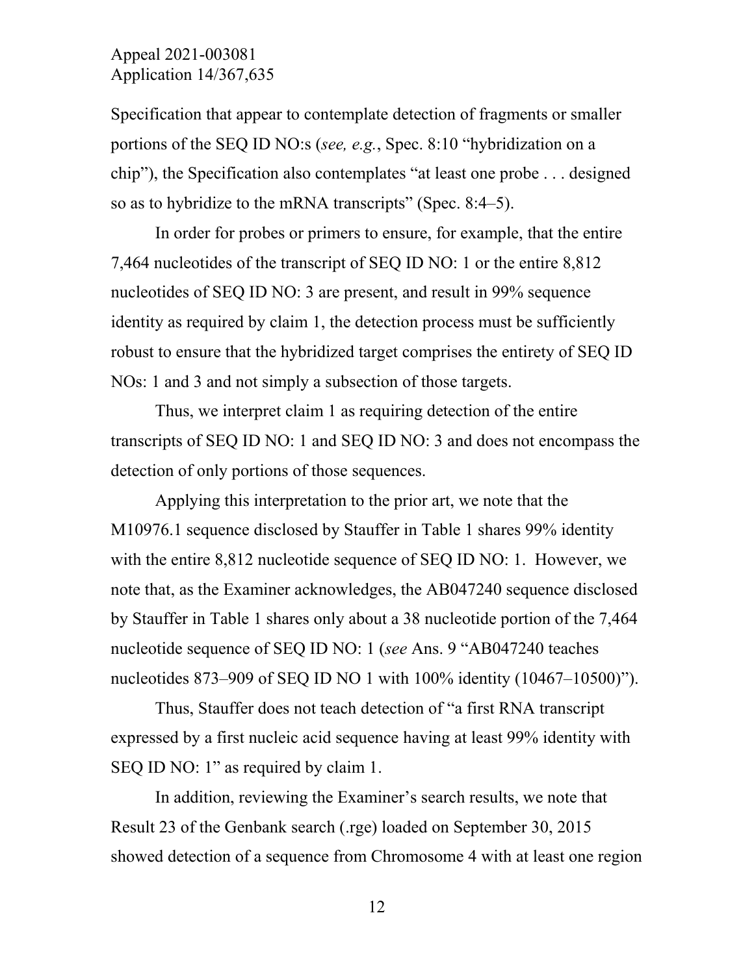Specification that appear to contemplate detection of fragments or smaller portions of the SEQ ID NO:s (*see, e.g.*, Spec. 8:10 "hybridization on a chip"), the Specification also contemplates "at least one probe . . . designed so as to hybridize to the mRNA transcripts" (Spec. 8:4–5).

In order for probes or primers to ensure, for example, that the entire 7,464 nucleotides of the transcript of SEQ ID NO: 1 or the entire 8,812 nucleotides of SEQ ID NO: 3 are present, and result in 99% sequence identity as required by claim 1, the detection process must be sufficiently robust to ensure that the hybridized target comprises the entirety of SEQ ID NOs: 1 and 3 and not simply a subsection of those targets.

Thus, we interpret claim 1 as requiring detection of the entire transcripts of SEQ ID NO: 1 and SEQ ID NO: 3 and does not encompass the detection of only portions of those sequences.

Applying this interpretation to the prior art, we note that the M10976.1 sequence disclosed by Stauffer in Table 1 shares 99% identity with the entire 8,812 nucleotide sequence of SEQ ID NO: 1. However, we note that, as the Examiner acknowledges, the AB047240 sequence disclosed by Stauffer in Table 1 shares only about a 38 nucleotide portion of the 7,464 nucleotide sequence of SEQ ID NO: 1 (*see* Ans. 9 "AB047240 teaches nucleotides 873–909 of SEQ ID NO 1 with 100% identity (10467–10500)").

Thus, Stauffer does not teach detection of "a first RNA transcript expressed by a first nucleic acid sequence having at least 99% identity with SEQ ID NO: 1" as required by claim 1.

In addition, reviewing the Examiner's search results, we note that Result 23 of the Genbank search (.rge) loaded on September 30, 2015 showed detection of a sequence from Chromosome 4 with at least one region

12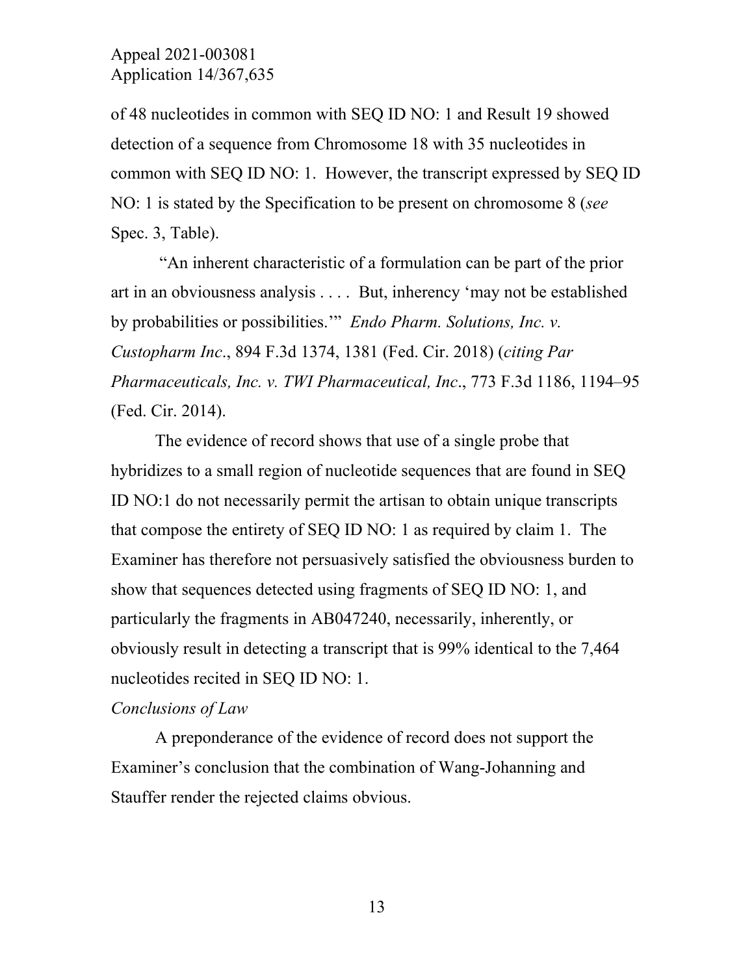of 48 nucleotides in common with SEQ ID NO: 1 and Result 19 showed detection of a sequence from Chromosome 18 with 35 nucleotides in common with SEQ ID NO: 1. However, the transcript expressed by SEQ ID NO: 1 is stated by the Specification to be present on chromosome 8 (*see* Spec. 3, Table).

"An inherent characteristic of a formulation can be part of the prior art in an obviousness analysis . . . . But, inherency 'may not be established by probabilities or possibilities.'" *Endo Pharm. Solutions, Inc. v. Custopharm Inc*., 894 F.3d 1374, 1381 (Fed. Cir. 2018) (*citing Par Pharmaceuticals, Inc. v. TWI Pharmaceutical, Inc*., 773 F.3d 1186, 1194–95 (Fed. Cir. 2014).

The evidence of record shows that use of a single probe that hybridizes to a small region of nucleotide sequences that are found in SEQ ID NO:1 do not necessarily permit the artisan to obtain unique transcripts that compose the entirety of SEQ ID NO: 1 as required by claim 1. The Examiner has therefore not persuasively satisfied the obviousness burden to show that sequences detected using fragments of SEQ ID NO: 1, and particularly the fragments in AB047240, necessarily, inherently, or obviously result in detecting a transcript that is 99% identical to the 7,464 nucleotides recited in SEQ ID NO: 1.

#### *Conclusions of Law*

A preponderance of the evidence of record does not support the Examiner's conclusion that the combination of Wang-Johanning and Stauffer render the rejected claims obvious.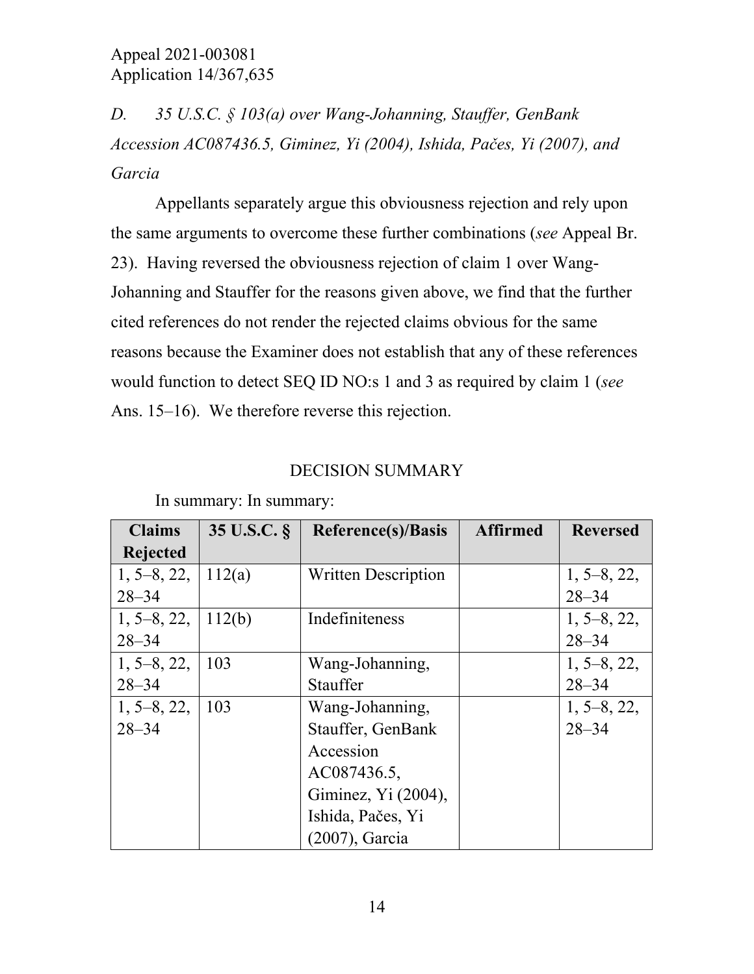*D. 35 U.S.C. § 103(a) over Wang-Johanning, Stauffer, GenBank Accession AC087436.5, Giminez, Yi (2004), Ishida, Pačes, Yi (2007), and Garcia* 

Appellants separately argue this obviousness rejection and rely upon the same arguments to overcome these further combinations (*see* Appeal Br. 23). Having reversed the obviousness rejection of claim 1 over Wang-Johanning and Stauffer for the reasons given above, we find that the further cited references do not render the rejected claims obvious for the same reasons because the Examiner does not establish that any of these references would function to detect SEQ ID NO:s 1 and 3 as required by claim 1 (*see* Ans. 15–16). We therefore reverse this rejection.

### DECISION SUMMARY

| <b>Claims</b> | 35 U.S.C. § | <b>Reference(s)/Basis</b> | <b>Reversed</b> |               |
|---------------|-------------|---------------------------|-----------------|---------------|
| Rejected      |             |                           |                 |               |
| $1, 5-8, 22,$ | 112(a)      | Written Description       |                 | $1, 5-8, 22,$ |
| $28 - 34$     |             |                           |                 | $28 - 34$     |
| $1, 5-8, 22,$ | 112(b)      | Indefiniteness            |                 | $1, 5-8, 22,$ |
| $28 - 34$     |             |                           |                 | $28 - 34$     |
| $1, 5-8, 22,$ | 103         | Wang-Johanning,           |                 | $1, 5-8, 22,$ |
| $28 - 34$     |             | <b>Stauffer</b>           |                 | $28 - 34$     |
| $1, 5-8, 22,$ | 103         | Wang-Johanning,           |                 | $1, 5-8, 22,$ |
| $28 - 34$     |             | Stauffer, GenBank         |                 | $28 - 34$     |
|               |             | Accession                 |                 |               |
|               |             | AC087436.5,               |                 |               |
|               |             | Giminez, Yi (2004),       |                 |               |
|               |             | Ishida, Pačes, Yi         |                 |               |
|               |             | (2007), Garcia            |                 |               |

In summary: In summary: